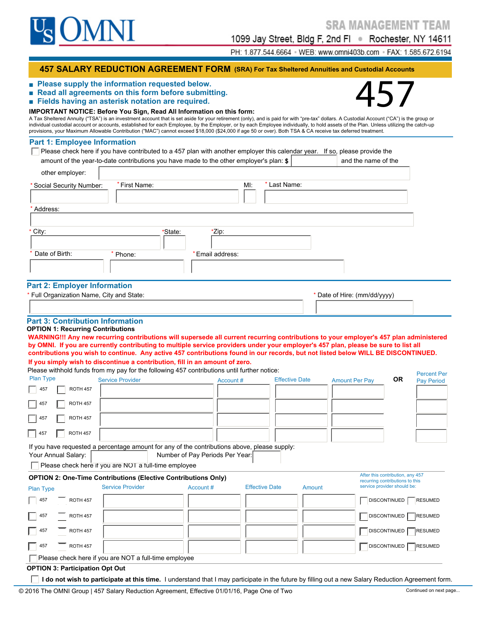

1099 Jay Street, Bldg F, 2nd Fl · Rochester, NY 14611

PH: 1.877.544.6664 · WEB: www.omni403b.com · FAX: 1.585.672.6194

#### **457 SALARY REDUCTION AGREEMENT FORM (SRA) For Tax Sheltered Annuities and Custodial Accounts**

- **Read all agreements on this form before submitting.**
- **■ Fields having an asterisk notation are required.**

# ■ Please supply the information requested below.<br>■ Read all agreements on this form before submitting.<br>■ Fields having an asterisk notation are required.<br>IMPORTANT NOTICE: Before You Sign, Read All Information on this for

A Tax Sheltered Annuity ("TSA") is an investment account that is set aside for your retirement (only), and is paid for with "pre-tax" dollars. A Custodial Account ("CA") is the group or individual custodial account or accounts, established for each Employee, by the Employer, or by each Employee individually, to hold assets of the Plan. Unless utilizing the catch-up provisions, your Maximum Allowable Contribution ("MAC") cannot exceed \$18,000 (\$24,000 if age 50 or over). Both TSA & CA receive tax deferred treatment.

#### **Part 1: Employee Information**

| other employer:                         |               |         |                 |     |              |                              |
|-----------------------------------------|---------------|---------|-----------------|-----|--------------|------------------------------|
| * Social Security Number:               | * First Name: |         |                 | MI: | * Last Name: |                              |
| Address:                                |               |         |                 |     |              |                              |
| * City:                                 |               | *State: | *Zip:           |     |              |                              |
| Date of Birth:                          | Phone:        |         | *Email address: |     |              |                              |
| <b>Part 2: Employer Information</b>     |               |         |                 |     |              |                              |
| Full Organization Name, City and State: |               |         |                 |     |              | * Date of Hire: (mm/dd/yyyy) |

#### **Part 3: Contribution Information**

#### **OPTION 1: Recurring Contributions**

**WARNING!!! Any new recurring contributions will supersede all current recurring contributions to your employer's 457 plan administered by OMNI. If you are currently contributing to multiple service providers under your employer's 457 plan, please be sure to list all contributions you wish to continue. Any active 457 contributions found in our records, but not listed below WILL BE DISCONTINUED.**

**If you simply wish to discontinue a contribution, fill in an amount of zero.** Please withhold funds from my pay for the following 457 contributions until further notice: Percent Per

|                                    | Please withhold funds from my pay for the following 457 contributions until funtiler houce.  |                                 |                       |                       |                                                                     |           | <b>Percent Per</b> |
|------------------------------------|----------------------------------------------------------------------------------------------|---------------------------------|-----------------------|-----------------------|---------------------------------------------------------------------|-----------|--------------------|
| <b>Plan Type</b>                   | <b>Service Provider</b>                                                                      | Account #                       |                       | <b>Effective Date</b> | <b>Amount Per Pay</b>                                               | <b>OR</b> | <b>Pay Period</b>  |
| <b>ROTH 457</b><br>457             |                                                                                              |                                 |                       |                       |                                                                     |           |                    |
| <b>ROTH 457</b><br>457             |                                                                                              |                                 |                       |                       |                                                                     |           |                    |
| <b>ROTH 457</b><br>457             |                                                                                              |                                 |                       |                       |                                                                     |           |                    |
| <b>ROTH 457</b><br>$\parallel$ 457 |                                                                                              |                                 |                       |                       |                                                                     |           |                    |
|                                    | If you have requested a percentage amount for any of the contributions above, please supply: |                                 |                       |                       |                                                                     |           |                    |
| Your Annual Salary:                |                                                                                              | Number of Pay Periods Per Year: |                       |                       |                                                                     |           |                    |
|                                    | Please check here if you are NOT a full-time employee                                        |                                 |                       |                       |                                                                     |           |                    |
|                                    | <b>OPTION 2: One-Time Contributions (Elective Contributions Only)</b>                        |                                 |                       |                       | After this contribution, any 457<br>recurring contributions to this |           |                    |
| <b>Plan Type</b>                   | <b>Service Provider</b>                                                                      | Account #                       | <b>Effective Date</b> | Amount                | service provider should be:                                         |           |                    |
| $\vert$ 457<br><b>ROTH 457</b>     |                                                                                              |                                 |                       |                       | <b>DISCONTINUED</b>                                                 |           | <b>RESUMED</b>     |
| 457<br><b>ROTH 457</b>             |                                                                                              |                                 |                       |                       | <b>DISCONTINUED</b>                                                 |           | <b>RESUMED</b>     |

**I do not wish to participate at this time.** I understand that I may participate in the future by filling out a new Salary Reduction Agreement form.

457 ROTH 457 | ROTH 157 | ROTH 157 | ROTH 157 | ROTH 157 | ROTH 157 | ROTH 157 | ROTH 157 | ROTH 157 | ROTH 15

457 ROTH 457 DISCONTINUED RESUMED RESUMED RESUMED RESUMED RESUMED RESUMED RESUMED RESUMED RESUMED RESUMED RESUMED

**Please check here if you are NOT a full-time employee** 

**OPTION 3: Participation Opt Out**